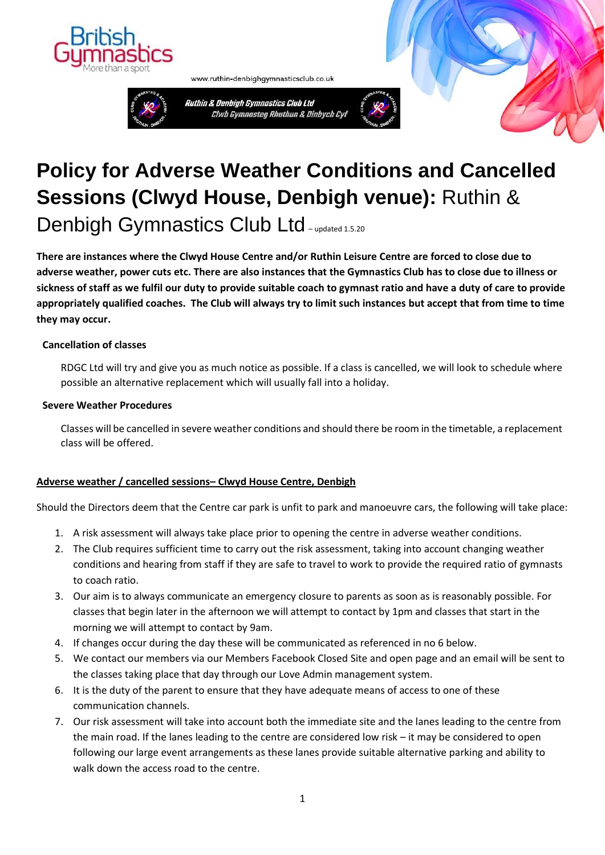



www.ruthin-denbighgymnasticsclub.co.uk





**There are instances where the Clwyd House Centre and/or Ruthin Leisure Centre are forced to close due to adverse weather, power cuts etc. There are also instances that the Gymnastics Club has to close due to illness or sickness of staff as we fulfil our duty to provide suitable coach to gymnast ratio and have a duty of care to provide appropriately qualified coaches. The Club will always try to limit such instances but accept that from time to time they may occur.**

## **Cancellation of classes**

RDGC Ltd will try and give you as much notice as possible. If a class is cancelled, we will look to schedule where possible an alternative replacement which will usually fall into a holiday.

## **Severe Weather Procedures**

Classes will be cancelled in severe weather conditions and should there be room in the timetable, a replacement class will be offered.

## **Adverse weather / cancelled sessions– Clwyd House Centre, Denbigh**

Should the Directors deem that the Centre car park is unfit to park and manoeuvre cars, the following will take place:

- 1. A risk assessment will always take place prior to opening the centre in adverse weather conditions.
- 2. The Club requires sufficient time to carry out the risk assessment, taking into account changing weather conditions and hearing from staff if they are safe to travel to work to provide the required ratio of gymnasts to coach ratio.
- 3. Our aim is to always communicate an emergency closure to parents as soon as is reasonably possible. For classes that begin later in the afternoon we will attempt to contact by 1pm and classes that start in the morning we will attempt to contact by 9am.
- 4. If changes occur during the day these will be communicated as referenced in no 6 below.
- 5. We contact our members via our Members Facebook Closed Site and open page and an email will be sent to the classes taking place that day through our Love Admin management system.
- 6. It is the duty of the parent to ensure that they have adequate means of access to one of these communication channels.
- 7. Our risk assessment will take into account both the immediate site and the lanes leading to the centre from the main road. If the lanes leading to the centre are considered low risk – it may be considered to open following our large event arrangements as these lanes provide suitable alternative parking and ability to walk down the access road to the centre.